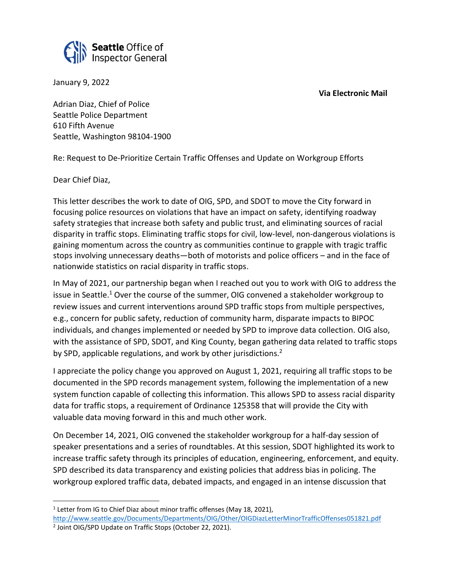



January 9, 2022

Adrian Diaz, Chief of Police Seattle Police Department 610 Fifth Avenue Seattle, Washington 98104-1900

Re: Request to De-Prioritize Certain Traffic Offenses and Update on Workgroup Efforts

Dear Chief Diaz,

This letter describes the work to date of OIG, SPD, and SDOT to move the City forward in focusing police resources on violations that have an impact on safety, identifying roadway safety strategies that increase both safety and public trust, and eliminating sources of racial disparity in traffic stops. Eliminating traffic stops for civil, low-level, non-dangerous violations is gaining momentum across the country as communities continue to grapple with tragic traffic stops involving unnecessary deaths—both of motorists and police officers – and in the face of nationwide statistics on racial disparity in traffic stops.

In May of 2021, our partnership began when I reached out you to work with OIG to address the issue in Seattle.<sup>1</sup> Over the course of the summer, OIG convened a stakeholder workgroup to review issues and current interventions around SPD traffic stops from multiple perspectives, e.g., concern for public safety, reduction of community harm, disparate impacts to BIPOC individuals, and changes implemented or needed by SPD to improve data collection. OIG also, with the assistance of SPD, SDOT, and King County, began gathering data related to traffic stops by SPD, applicable regulations, and work by other jurisdictions.<sup>2</sup>

I appreciate the policy change you approved on August 1, 2021, requiring all traffic stops to be documented in the SPD records management system, following the implementation of a new system function capable of collecting this information. This allows SPD to assess racial disparity data for traffic stops, a requirement of Ordinance 125358 that will provide the City with valuable data moving forward in this and much other work.

On December 14, 2021, OIG convened the stakeholder workgroup for a half-day session of speaker presentations and a series of roundtables. At this session, SDOT highlighted its work to increase traffic safety through its principles of education, engineering, enforcement, and equity. SPD described its data transparency and existing policies that address bias in policing. The workgroup explored traffic data, debated impacts, and engaged in an intense discussion that

<sup>&</sup>lt;sup>1</sup> Letter from IG to Chief Diaz about minor traffic offenses (May 18, 2021), <http://www.seattle.gov/Documents/Departments/OIG/Other/OIGDiazLetterMinorTrafficOffenses051821.pdf>

<sup>&</sup>lt;sup>2</sup> Joint OIG/SPD Update on Traffic Stops (October 22, 2021).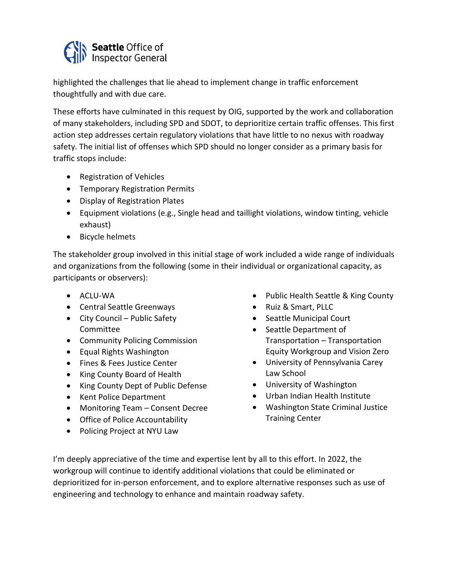

highlighted the challenges that lie ahead to implement change in traffic enforcement thoughtfully and with due care.

These efforts have culminated in this request by OIG, supported by the work and collaboration of many stakeholders, including SPD and SDOT, to deprioritize certain traffic offenses. This first action step addresses certain regulatory violations that have little to no nexus with roadway safety. The initial list of offenses which SPD should no longer consider as a primary basis for traffic stops include:

- Registration of Vehicles
- Temporary Registration Permits
- Display of Registration Plates
- Equipment violations (e.g., Single head and taillight violations, window tinting, vehicle exhaust)
- Bicycle helmets

The stakeholder group involved in this initial stage of work included a wide range of individuals and organizations from the following (some in their individual or organizational capacity, as participants or observers):

- ACLU-WA
- Central Seattle Greenways
- City Council Public Safety Committee
- Community Policing Commission
- Equal Rights Washington
- Fines & Fees Justice Center
- King County Board of Health
- King County Dept of Public Defense
- Kent Police Department
- Monitoring Team Consent Decree
- Office of Police Accountability
- Policing Project at NYU Law
- Public Health Seattle & King County
- Ruiz & Smart, PLLC
- Seattle Municipal Court
- Seattle Department of Transportation – Transportation Equity Workgroup and Vision Zero
- University of Pennsylvania Carey Law School
- University of Washington
- Urban Indian Health Institute
- Washington State Criminal Justice Training Center

I'm deeply appreciative of the time and expertise lent by all to this effort. In 2022, the workgroup will continue to identify additional violations that could be eliminated or deprioritized for in-person enforcement, and to explore alternative responses such as use of engineering and technology to enhance and maintain roadway safety.